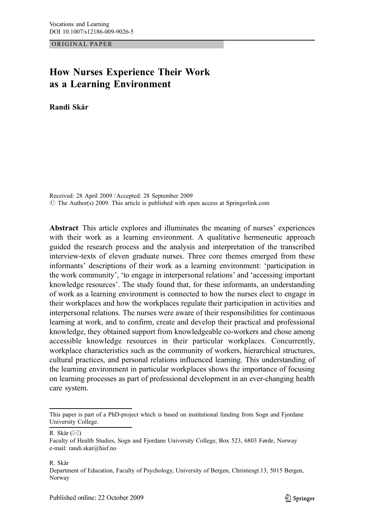OR IG INAL PAPER

# How Nurses Experience Their Work as a Learning Environment

Randi Skår

Received: 28 April 2009 / Accepted: 28 September 2009  $\circ$  The Author(s) 2009. This article is published with open access at Springerlink.com

Abstract This article explores and illuminates the meaning of nurses' experiences with their work as a learning environment. A qualitative hermeneutic approach guided the research process and the analysis and interpretation of the transcribed interview-texts of eleven graduate nurses. Three core themes emerged from these informants' descriptions of their work as a learning environment: 'participation in the work community', 'to engage in interpersonal relations' and 'accessing important knowledge resources'. The study found that, for these informants, an understanding of work as a learning environment is connected to how the nurses elect to engage in their workplaces and how the workplaces regulate their participation in activities and interpersonal relations. The nurses were aware of their responsibilities for continuous learning at work, and to confirm, create and develop their practical and professional knowledge, they obtained support from knowledgeable co-workers and chose among accessible knowledge resources in their particular workplaces. Concurrently, workplace characteristics such as the community of workers, hierarchical structures, cultural practices, and personal relations influenced learning. This understanding of the learning environment in particular workplaces shows the importance of focusing on learning processes as part of professional development in an ever-changing health care system.

R. Skår  $(\boxtimes)$ 

R. Skår

This paper is part of a PhD-project which is based on institutional funding from Sogn and Fjordane University College.

Faculty of Health Studies, Sogn and Fjordane University College, Box 523, 6803 Førde, Norway e-mail: randi.skar@hisf.no

Department of Education, Faculty of Psychology, University of Bergen, Christiesgt.13, 5015 Bergen, Norway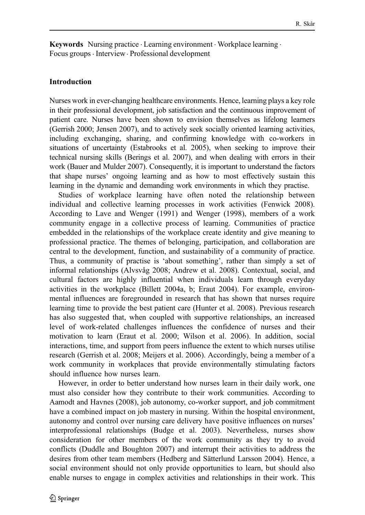Keywords Nursing practice . Learning environment . Workplace learning . Focus groups . Interview. Professional development

#### Introduction

Nurses work in ever-changing healthcare environments. Hence, learning plays a key role in their professional development, job satisfaction and the continuous improvement of patient care. Nurses have been shown to envision themselves as lifelong learners (Gerrish 2000; Jensen 2007), and to actively seek socially oriented learning activities, including exchanging, sharing, and confirming knowledge with co-workers in situations of uncertainty (Estabrooks et al. 2005), when seeking to improve their technical nursing skills (Berings et al. 2007), and when dealing with errors in their work (Bauer and Mulder 2007). Consequently, it is important to understand the factors that shape nurses' ongoing learning and as how to most effectively sustain this learning in the dynamic and demanding work environments in which they practise.

Studies of workplace learning have often noted the relationship between individual and collective learning processes in work activities (Fenwick 2008). According to Lave and Wenger (1991) and Wenger (1998), members of a work community engage in a collective process of learning. Communities of practice embedded in the relationships of the workplace create identity and give meaning to professional practice. The themes of belonging, participation, and collaboration are central to the development, function, and sustainability of a community of practice. Thus, a community of practise is 'about something', rather than simply a set of informal relationships (Alvsvåg 2008; Andrew et al. 2008). Contextual, social, and cultural factors are highly influential when individuals learn through everyday activities in the workplace (Billett 2004a, b; Eraut 2004). For example, environmental influences are foregrounded in research that has shown that nurses require learning time to provide the best patient care (Hunter et al. 2008). Previous research has also suggested that, when coupled with supportive relationships, an increased level of work-related challenges influences the confidence of nurses and their motivation to learn (Eraut et al. 2000; Wilson et al. 2006). In addition, social interactions, time, and support from peers influence the extent to which nurses utilise research (Gerrish et al. 2008; Meijers et al. 2006). Accordingly, being a member of a work community in workplaces that provide environmentally stimulating factors should influence how nurses learn.

However, in order to better understand how nurses learn in their daily work, one must also consider how they contribute to their work communities. According to Aamodt and Havnes (2008), job autonomy, co-worker support, and job commitment have a combined impact on job mastery in nursing. Within the hospital environment, autonomy and control over nursing care delivery have positive influences on nurses' interprofessional relationships (Budge et al. 2003). Nevertheless, nurses show consideration for other members of the work community as they try to avoid conflicts (Duddle and Boughton 2007) and interrupt their activities to address the desires from other team members (Hedberg and Sätterlund Larsson 2004). Hence, a social environment should not only provide opportunities to learn, but should also enable nurses to engage in complex activities and relationships in their work. This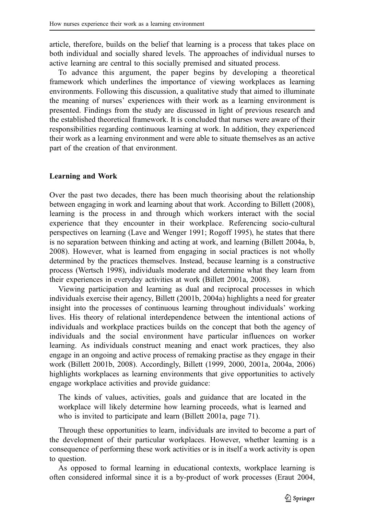article, therefore, builds on the belief that learning is a process that takes place on both individual and socially shared levels. The approaches of individual nurses to active learning are central to this socially premised and situated process.

To advance this argument, the paper begins by developing a theoretical framework which underlines the importance of viewing workplaces as learning environments. Following this discussion, a qualitative study that aimed to illuminate the meaning of nurses' experiences with their work as a learning environment is presented. Findings from the study are discussed in light of previous research and the established theoretical framework. It is concluded that nurses were aware of their responsibilities regarding continuous learning at work. In addition, they experienced their work as a learning environment and were able to situate themselves as an active part of the creation of that environment.

# Learning and Work

Over the past two decades, there has been much theorising about the relationship between engaging in work and learning about that work. According to Billett (2008), learning is the process in and through which workers interact with the social experience that they encounter in their workplace. Referencing socio-cultural perspectives on learning (Lave and Wenger 1991; Rogoff 1995), he states that there is no separation between thinking and acting at work, and learning (Billett 2004a, b, 2008). However, what is learned from engaging in social practices is not wholly determined by the practices themselves. Instead, because learning is a constructive process (Wertsch 1998), individuals moderate and determine what they learn from their experiences in everyday activities at work (Billett 2001a, 2008).

Viewing participation and learning as dual and reciprocal processes in which individuals exercise their agency, Billett (2001b, 2004a) highlights a need for greater insight into the processes of continuous learning throughout individuals' working lives. His theory of relational interdependence between the intentional actions of individuals and workplace practices builds on the concept that both the agency of individuals and the social environment have particular influences on worker learning. As individuals construct meaning and enact work practices, they also engage in an ongoing and active process of remaking practise as they engage in their work (Billett 2001b, 2008). Accordingly, Billett (1999, 2000, 2001a, 2004a, 2006) highlights workplaces as learning environments that give opportunities to actively engage workplace activities and provide guidance:

The kinds of values, activities, goals and guidance that are located in the workplace will likely determine how learning proceeds, what is learned and who is invited to participate and learn (Billett 2001a, page 71).

Through these opportunities to learn, individuals are invited to become a part of the development of their particular workplaces. However, whether learning is a consequence of performing these work activities or is in itself a work activity is open to question.

As opposed to formal learning in educational contexts, workplace learning is often considered informal since it is a by-product of work processes (Eraut 2004,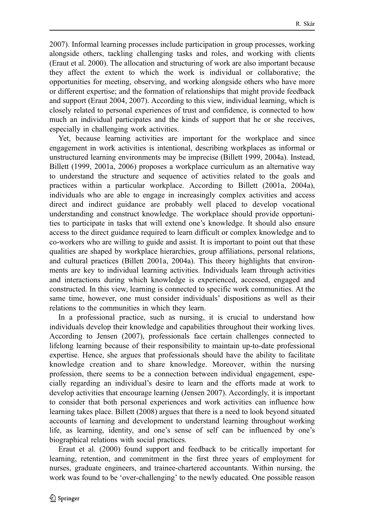2007). Informal learning processes include participation in group processes, working alongside others, tackling challenging tasks and roles, and working with clients (Eraut et al. 2000). The allocation and structuring of work are also important because they affect the extent to which the work is individual or collaborative; the opportunities for meeting, observing, and working alongside others who have more or different expertise; and the formation of relationships that might provide feedback and support (Eraut 2004, 2007). According to this view, individual learning, which is closely related to personal experiences of trust and confidence, is connected to how much an individual participates and the kinds of support that he or she receives, especially in challenging work activities.

Yet, because learning activities are important for the workplace and since engagement in work activities is intentional, describing workplaces as informal or unstructured learning environments may be imprecise (Billett 1999, 2004a). Instead, Billett (1999, 2001a, 2006) proposes a workplace curriculum as an alternative way to understand the structure and sequence of activities related to the goals and practices within a particular workplace. According to Billett (2001a, 2004a), individuals who are able to engage in increasingly complex activities and access direct and indirect guidance are probably well placed to develop vocational understanding and construct knowledge. The workplace should provide opportunities to participate in tasks that will extend one's knowledge. It should also ensure access to the direct guidance required to learn difficult or complex knowledge and to co-workers who are willing to guide and assist. It is important to point out that these qualities are shaped by workplace hierarchies, group affiliations, personal relations, and cultural practices (Billett 2001a, 2004a). This theory highlights that environments are key to individual learning activities. Individuals learn through activities and interactions during which knowledge is experienced, accessed, engaged and constructed. In this view, learning is connected to specific work communities. At the same time, however, one must consider individuals' dispositions as well as their relations to the communities in which they learn.

In a professional practice, such as nursing, it is crucial to understand how individuals develop their knowledge and capabilities throughout their working lives. According to Jensen (2007), professionals face certain challenges connected to lifelong learning because of their responsibility to maintain up-to-date professional expertise. Hence, she argues that professionals should have the ability to facilitate knowledge creation and to share knowledge. Moreover, within the nursing profession, there seems to be a connection between individual engagement, especially regarding an individual's desire to learn and the efforts made at work to develop activities that encourage learning (Jensen 2007). Accordingly, it is important to consider that both personal experiences and work activities can influence how learning takes place. Billett (2008) argues that there is a need to look beyond situated accounts of learning and development to understand learning throughout working life, as learning, identity, and one's sense of self can be influenced by one's biographical relations with social practices.

Eraut et al. (2000) found support and feedback to be critically important for learning, retention, and commitment in the first three years of employment for nurses, graduate engineers, and trainee-chartered accountants. Within nursing, the work was found to be 'over-challenging' to the newly educated. One possible reason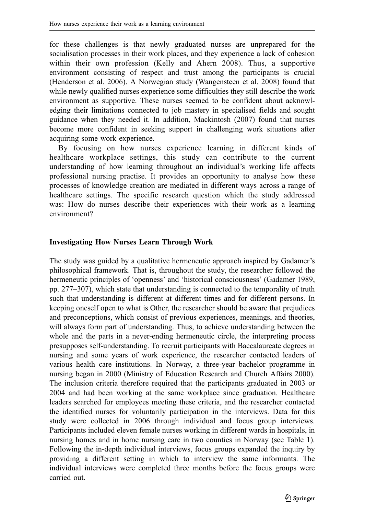for these challenges is that newly graduated nurses are unprepared for the socialisation processes in their work places, and they experience a lack of cohesion within their own profession (Kelly and Ahern 2008). Thus, a supportive environment consisting of respect and trust among the participants is crucial (Henderson et al. 2006). A Norwegian study (Wangensteen et al. 2008) found that while newly qualified nurses experience some difficulties they still describe the work environment as supportive. These nurses seemed to be confident about acknowledging their limitations connected to job mastery in specialised fields and sought guidance when they needed it. In addition, Mackintosh (2007) found that nurses become more confident in seeking support in challenging work situations after acquiring some work experience.

By focusing on how nurses experience learning in different kinds of healthcare workplace settings, this study can contribute to the current understanding of how learning throughout an individual's working life affects professional nursing practise. It provides an opportunity to analyse how these processes of knowledge creation are mediated in different ways across a range of healthcare settings. The specific research question which the study addressed was: How do nurses describe their experiences with their work as a learning environment?

# Investigating How Nurses Learn Through Work

The study was guided by a qualitative hermeneutic approach inspired by Gadamer's philosophical framework. That is, throughout the study, the researcher followed the hermeneutic principles of 'openness' and 'historical consciousness' (Gadamer 1989, pp. 277–307), which state that understanding is connected to the temporality of truth such that understanding is different at different times and for different persons. In keeping oneself open to what is Other, the researcher should be aware that prejudices and preconceptions, which consist of previous experiences, meanings, and theories, will always form part of understanding. Thus, to achieve understanding between the whole and the parts in a never-ending hermeneutic circle, the interpreting process presupposes self-understanding. To recruit participants with Baccalaureate degrees in nursing and some years of work experience, the researcher contacted leaders of various health care institutions. In Norway, a three-year bachelor programme in nursing began in 2000 (Ministry of Education Research and Church Affairs 2000). The inclusion criteria therefore required that the participants graduated in 2003 or 2004 and had been working at the same workplace since graduation. Healthcare leaders searched for employees meeting these criteria, and the researcher contacted the identified nurses for voluntarily participation in the interviews. Data for this study were collected in 2006 through individual and focus group interviews. Participants included eleven female nurses working in different wards in hospitals, in nursing homes and in home nursing care in two counties in Norway (see Table 1). Following the in-depth individual interviews, focus groups expanded the inquiry by providing a different setting in which to interview the same informants. The individual interviews were completed three months before the focus groups were carried out.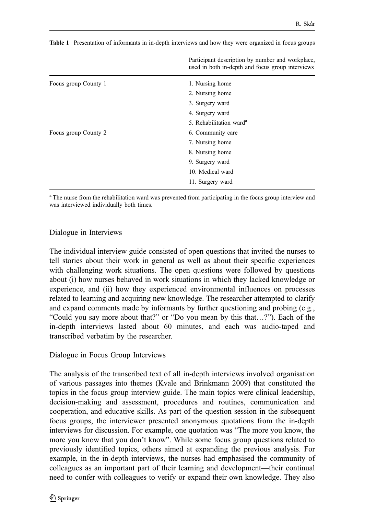|                      | Participant description by number and workplace,<br>used in both in-depth and focus group interviews |
|----------------------|------------------------------------------------------------------------------------------------------|
| Focus group County 1 | 1. Nursing home                                                                                      |
|                      | 2. Nursing home                                                                                      |
|                      | 3. Surgery ward                                                                                      |
|                      | 4. Surgery ward                                                                                      |
|                      | 5. Rehabilitation ward <sup>a</sup>                                                                  |
| Focus group County 2 | 6. Community care                                                                                    |
|                      | 7. Nursing home                                                                                      |
|                      | 8. Nursing home                                                                                      |
|                      | 9. Surgery ward                                                                                      |
|                      | 10. Medical ward                                                                                     |
|                      | 11. Surgery ward                                                                                     |
|                      |                                                                                                      |

Table 1 Presentation of informants in in-depth interviews and how they were organized in focus groups

<sup>a</sup> The nurse from the rehabilitation ward was prevented from participating in the focus group interview and was interviewed individually both times.

#### Dialogue in Interviews

The individual interview guide consisted of open questions that invited the nurses to tell stories about their work in general as well as about their specific experiences with challenging work situations. The open questions were followed by questions about (i) how nurses behaved in work situations in which they lacked knowledge or experience, and (ii) how they experienced environmental influences on processes related to learning and acquiring new knowledge. The researcher attempted to clarify and expand comments made by informants by further questioning and probing (e.g., "Could you say more about that?" or "Do you mean by this that…?"). Each of the in-depth interviews lasted about 60 minutes, and each was audio-taped and transcribed verbatim by the researcher.

Dialogue in Focus Group Interviews

The analysis of the transcribed text of all in-depth interviews involved organisation of various passages into themes (Kvale and Brinkmann 2009) that constituted the topics in the focus group interview guide. The main topics were clinical leadership, decision-making and assessment, procedures and routines, communication and cooperation, and educative skills. As part of the question session in the subsequent focus groups, the interviewer presented anonymous quotations from the in-depth interviews for discussion. For example, one quotation was "The more you know, the more you know that you don't know". While some focus group questions related to previously identified topics, others aimed at expanding the previous analysis. For example, in the in-depth interviews, the nurses had emphasised the community of colleagues as an important part of their learning and development—their continual need to confer with colleagues to verify or expand their own knowledge. They also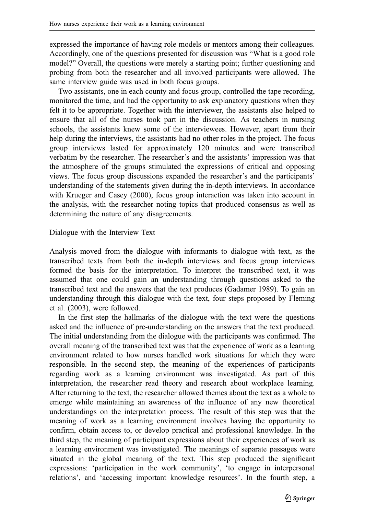expressed the importance of having role models or mentors among their colleagues. Accordingly, one of the questions presented for discussion was "What is a good role model?" Overall, the questions were merely a starting point; further questioning and probing from both the researcher and all involved participants were allowed. The same interview guide was used in both focus groups.

Two assistants, one in each county and focus group, controlled the tape recording, monitored the time, and had the opportunity to ask explanatory questions when they felt it to be appropriate. Together with the interviewer, the assistants also helped to ensure that all of the nurses took part in the discussion. As teachers in nursing schools, the assistants knew some of the interviewees. However, apart from their help during the interviews, the assistants had no other roles in the project. The focus group interviews lasted for approximately 120 minutes and were transcribed verbatim by the researcher. The researcher's and the assistants' impression was that the atmosphere of the groups stimulated the expressions of critical and opposing views. The focus group discussions expanded the researcher's and the participants' understanding of the statements given during the in-depth interviews. In accordance with Krueger and Casey (2000), focus group interaction was taken into account in the analysis, with the researcher noting topics that produced consensus as well as determining the nature of any disagreements.

### Dialogue with the Interview Text

Analysis moved from the dialogue with informants to dialogue with text, as the transcribed texts from both the in-depth interviews and focus group interviews formed the basis for the interpretation. To interpret the transcribed text, it was assumed that one could gain an understanding through questions asked to the transcribed text and the answers that the text produces (Gadamer 1989). To gain an understanding through this dialogue with the text, four steps proposed by Fleming et al. (2003), were followed.

In the first step the hallmarks of the dialogue with the text were the questions asked and the influence of pre-understanding on the answers that the text produced. The initial understanding from the dialogue with the participants was confirmed. The overall meaning of the transcribed text was that the experience of work as a learning environment related to how nurses handled work situations for which they were responsible. In the second step, the meaning of the experiences of participants regarding work as a learning environment was investigated. As part of this interpretation, the researcher read theory and research about workplace learning. After returning to the text, the researcher allowed themes about the text as a whole to emerge while maintaining an awareness of the influence of any new theoretical understandings on the interpretation process. The result of this step was that the meaning of work as a learning environment involves having the opportunity to confirm, obtain access to, or develop practical and professional knowledge. In the third step, the meaning of participant expressions about their experiences of work as a learning environment was investigated. The meanings of separate passages were situated in the global meaning of the text. This step produced the significant expressions: 'participation in the work community', 'to engage in interpersonal relations', and 'accessing important knowledge resources'. In the fourth step, a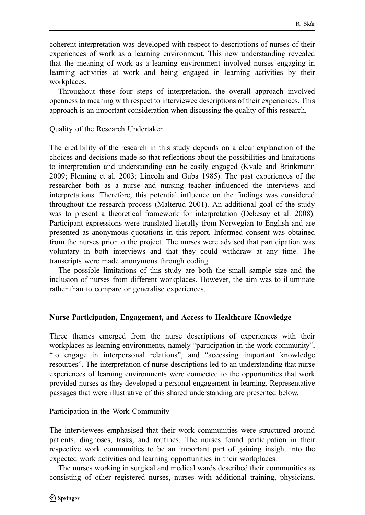coherent interpretation was developed with respect to descriptions of nurses of their experiences of work as a learning environment. This new understanding revealed that the meaning of work as a learning environment involved nurses engaging in learning activities at work and being engaged in learning activities by their workplaces.

Throughout these four steps of interpretation, the overall approach involved openness to meaning with respect to interviewee descriptions of their experiences. This approach is an important consideration when discussing the quality of this research.

### Quality of the Research Undertaken

The credibility of the research in this study depends on a clear explanation of the choices and decisions made so that reflections about the possibilities and limitations to interpretation and understanding can be easily engaged (Kvale and Brinkmann 2009; Fleming et al. 2003; Lincoln and Guba 1985). The past experiences of the researcher both as a nurse and nursing teacher influenced the interviews and interpretations. Therefore, this potential influence on the findings was considered throughout the research process (Malterud 2001). An additional goal of the study was to present a theoretical framework for interpretation (Debesay et al. 2008). Participant expressions were translated literally from Norwegian to English and are presented as anonymous quotations in this report. Informed consent was obtained from the nurses prior to the project. The nurses were advised that participation was voluntary in both interviews and that they could withdraw at any time. The transcripts were made anonymous through coding.

The possible limitations of this study are both the small sample size and the inclusion of nurses from different workplaces. However, the aim was to illuminate rather than to compare or generalise experiences.

## Nurse Participation, Engagement, and Access to Healthcare Knowledge

Three themes emerged from the nurse descriptions of experiences with their workplaces as learning environments, namely "participation in the work community", "to engage in interpersonal relations", and "accessing important knowledge resources". The interpretation of nurse descriptions led to an understanding that nurse experiences of learning environments were connected to the opportunities that work provided nurses as they developed a personal engagement in learning. Representative passages that were illustrative of this shared understanding are presented below.

## Participation in the Work Community

The interviewees emphasised that their work communities were structured around patients, diagnoses, tasks, and routines. The nurses found participation in their respective work communities to be an important part of gaining insight into the expected work activities and learning opportunities in their workplaces.

The nurses working in surgical and medical wards described their communities as consisting of other registered nurses, nurses with additional training, physicians,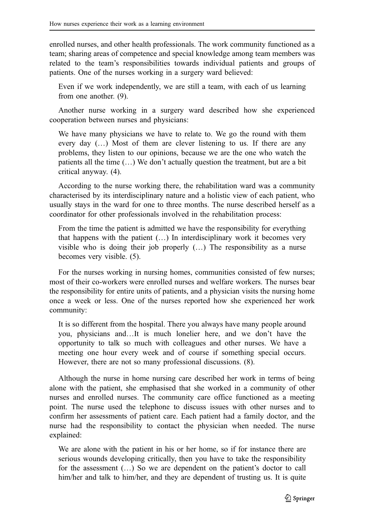enrolled nurses, and other health professionals. The work community functioned as a team; sharing areas of competence and special knowledge among team members was related to the team's responsibilities towards individual patients and groups of patients. One of the nurses working in a surgery ward believed:

Even if we work independently, we are still a team, with each of us learning from one another. (9).

Another nurse working in a surgery ward described how she experienced cooperation between nurses and physicians:

We have many physicians we have to relate to. We go the round with them every day (…) Most of them are clever listening to us. If there are any problems, they listen to our opinions, because we are the one who watch the patients all the time (…) We don't actually question the treatment, but are a bit critical anyway. (4).

According to the nurse working there, the rehabilitation ward was a community characterised by its interdisciplinary nature and a holistic view of each patient, who usually stays in the ward for one to three months. The nurse described herself as a coordinator for other professionals involved in the rehabilitation process:

From the time the patient is admitted we have the responsibility for everything that happens with the patient (…) In interdisciplinary work it becomes very visible who is doing their job properly (…) The responsibility as a nurse becomes very visible. (5).

For the nurses working in nursing homes, communities consisted of few nurses; most of their co-workers were enrolled nurses and welfare workers. The nurses bear the responsibility for entire units of patients, and a physician visits the nursing home once a week or less. One of the nurses reported how she experienced her work community:

It is so different from the hospital. There you always have many people around you, physicians and…It is much lonelier here, and we don't have the opportunity to talk so much with colleagues and other nurses. We have a meeting one hour every week and of course if something special occurs. However, there are not so many professional discussions. (8).

Although the nurse in home nursing care described her work in terms of being alone with the patient, she emphasised that she worked in a community of other nurses and enrolled nurses. The community care office functioned as a meeting point. The nurse used the telephone to discuss issues with other nurses and to confirm her assessments of patient care. Each patient had a family doctor, and the nurse had the responsibility to contact the physician when needed. The nurse explained:

We are alone with the patient in his or her home, so if for instance there are serious wounds developing critically, then you have to take the responsibility for the assessment (…) So we are dependent on the patient's doctor to call him/her and talk to him/her, and they are dependent of trusting us. It is quite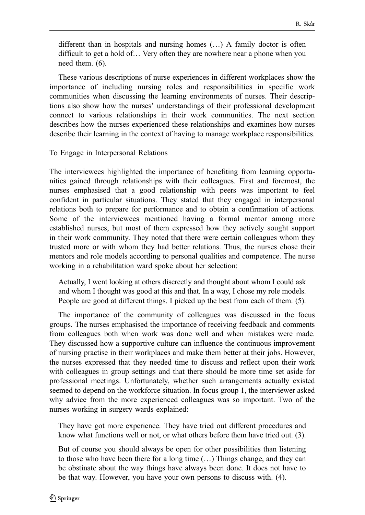different than in hospitals and nursing homes (…) A family doctor is often difficult to get a hold of… Very often they are nowhere near a phone when you need them. (6).

These various descriptions of nurse experiences in different workplaces show the importance of including nursing roles and responsibilities in specific work communities when discussing the learning environments of nurses. Their descriptions also show how the nurses' understandings of their professional development connect to various relationships in their work communities. The next section describes how the nurses experienced these relationships and examines how nurses describe their learning in the context of having to manage workplace responsibilities.

To Engage in Interpersonal Relations

The interviewees highlighted the importance of benefiting from learning opportunities gained through relationships with their colleagues. First and foremost, the nurses emphasised that a good relationship with peers was important to feel confident in particular situations. They stated that they engaged in interpersonal relations both to prepare for performance and to obtain a confirmation of actions. Some of the interviewees mentioned having a formal mentor among more established nurses, but most of them expressed how they actively sought support in their work community. They noted that there were certain colleagues whom they trusted more or with whom they had better relations. Thus, the nurses chose their mentors and role models according to personal qualities and competence. The nurse working in a rehabilitation ward spoke about her selection:

Actually, I went looking at others discreetly and thought about whom I could ask and whom I thought was good at this and that. In a way, I chose my role models. People are good at different things. I picked up the best from each of them. (5).

The importance of the community of colleagues was discussed in the focus groups. The nurses emphasised the importance of receiving feedback and comments from colleagues both when work was done well and when mistakes were made. They discussed how a supportive culture can influence the continuous improvement of nursing practise in their workplaces and make them better at their jobs. However, the nurses expressed that they needed time to discuss and reflect upon their work with colleagues in group settings and that there should be more time set aside for professional meetings. Unfortunately, whether such arrangements actually existed seemed to depend on the workforce situation. In focus group 1, the interviewer asked why advice from the more experienced colleagues was so important. Two of the nurses working in surgery wards explained:

They have got more experience. They have tried out different procedures and know what functions well or not, or what others before them have tried out. (3).

But of course you should always be open for other possibilities than listening to those who have been there for a long time (…) Things change, and they can be obstinate about the way things have always been done. It does not have to be that way. However, you have your own persons to discuss with. (4).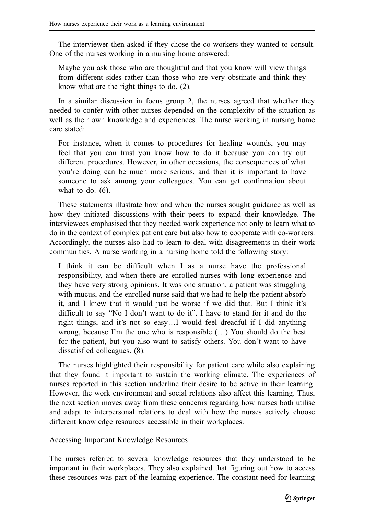The interviewer then asked if they chose the co-workers they wanted to consult. One of the nurses working in a nursing home answered:

Maybe you ask those who are thoughtful and that you know will view things from different sides rather than those who are very obstinate and think they know what are the right things to do. (2).

In a similar discussion in focus group 2, the nurses agreed that whether they needed to confer with other nurses depended on the complexity of the situation as well as their own knowledge and experiences. The nurse working in nursing home care stated:

For instance, when it comes to procedures for healing wounds, you may feel that you can trust you know how to do it because you can try out different procedures. However, in other occasions, the consequences of what you're doing can be much more serious, and then it is important to have someone to ask among your colleagues. You can get confirmation about what to do.  $(6)$ .

These statements illustrate how and when the nurses sought guidance as well as how they initiated discussions with their peers to expand their knowledge. The interviewees emphasised that they needed work experience not only to learn what to do in the context of complex patient care but also how to cooperate with co-workers. Accordingly, the nurses also had to learn to deal with disagreements in their work communities. A nurse working in a nursing home told the following story:

I think it can be difficult when I as a nurse have the professional responsibility, and when there are enrolled nurses with long experience and they have very strong opinions. It was one situation, a patient was struggling with mucus, and the enrolled nurse said that we had to help the patient absorb it, and I knew that it would just be worse if we did that. But I think it's difficult to say "No I don't want to do it". I have to stand for it and do the right things, and it's not so easy…I would feel dreadful if I did anything wrong, because I'm the one who is responsible (…) You should do the best for the patient, but you also want to satisfy others. You don't want to have dissatisfied colleagues. (8).

The nurses highlighted their responsibility for patient care while also explaining that they found it important to sustain the working climate. The experiences of nurses reported in this section underline their desire to be active in their learning. However, the work environment and social relations also affect this learning. Thus, the next section moves away from these concerns regarding how nurses both utilise and adapt to interpersonal relations to deal with how the nurses actively choose different knowledge resources accessible in their workplaces.

Accessing Important Knowledge Resources

The nurses referred to several knowledge resources that they understood to be important in their workplaces. They also explained that figuring out how to access these resources was part of the learning experience. The constant need for learning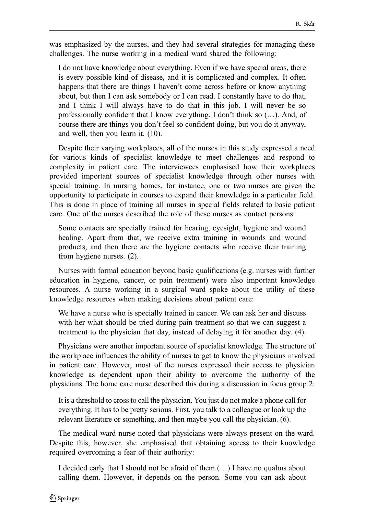was emphasized by the nurses, and they had several strategies for managing these challenges. The nurse working in a medical ward shared the following:

I do not have knowledge about everything. Even if we have special areas, there is every possible kind of disease, and it is complicated and complex. It often happens that there are things I haven't come across before or know anything about, but then I can ask somebody or I can read. I constantly have to do that, and I think I will always have to do that in this job. I will never be so professionally confident that I know everything. I don't think so (…). And, of course there are things you don't feel so confident doing, but you do it anyway, and well, then you learn it. (10).

Despite their varying workplaces, all of the nurses in this study expressed a need for various kinds of specialist knowledge to meet challenges and respond to complexity in patient care. The interviewees emphasised how their workplaces provided important sources of specialist knowledge through other nurses with special training. In nursing homes, for instance, one or two nurses are given the opportunity to participate in courses to expand their knowledge in a particular field. This is done in place of training all nurses in special fields related to basic patient care. One of the nurses described the role of these nurses as contact persons:

Some contacts are specially trained for hearing, eyesight, hygiene and wound healing. Apart from that, we receive extra training in wounds and wound products, and then there are the hygiene contacts who receive their training from hygiene nurses. (2).

Nurses with formal education beyond basic qualifications (e.g. nurses with further education in hygiene, cancer, or pain treatment) were also important knowledge resources. A nurse working in a surgical ward spoke about the utility of these knowledge resources when making decisions about patient care:

We have a nurse who is specially trained in cancer. We can ask her and discuss with her what should be tried during pain treatment so that we can suggest a treatment to the physician that day, instead of delaying it for another day. (4).

Physicians were another important source of specialist knowledge. The structure of the workplace influences the ability of nurses to get to know the physicians involved in patient care. However, most of the nurses expressed their access to physician knowledge as dependent upon their ability to overcome the authority of the physicians. The home care nurse described this during a discussion in focus group 2:

It is a threshold to cross to call the physician. You just do not make a phone call for everything. It has to be pretty serious. First, you talk to a colleague or look up the relevant literature or something, and then maybe you call the physician. (6).

The medical ward nurse noted that physicians were always present on the ward. Despite this, however, she emphasised that obtaining access to their knowledge required overcoming a fear of their authority:

I decided early that I should not be afraid of them (…) I have no qualms about calling them. However, it depends on the person. Some you can ask about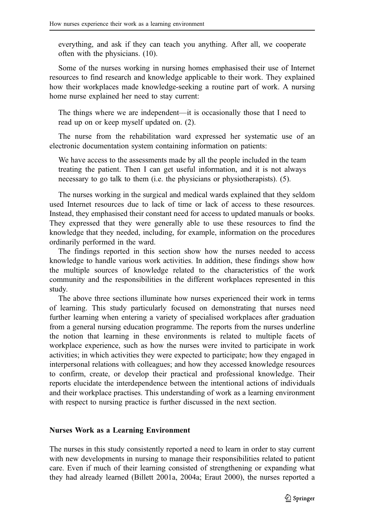everything, and ask if they can teach you anything. After all, we cooperate often with the physicians. (10).

Some of the nurses working in nursing homes emphasised their use of Internet resources to find research and knowledge applicable to their work. They explained how their workplaces made knowledge-seeking a routine part of work. A nursing home nurse explained her need to stay current:

The things where we are independent—it is occasionally those that I need to read up on or keep myself updated on. (2).

The nurse from the rehabilitation ward expressed her systematic use of an electronic documentation system containing information on patients:

We have access to the assessments made by all the people included in the team treating the patient. Then I can get useful information, and it is not always necessary to go talk to them (i.e. the physicians or physiotherapists). (5).

The nurses working in the surgical and medical wards explained that they seldom used Internet resources due to lack of time or lack of access to these resources. Instead, they emphasised their constant need for access to updated manuals or books. They expressed that they were generally able to use these resources to find the knowledge that they needed, including, for example, information on the procedures ordinarily performed in the ward.

The findings reported in this section show how the nurses needed to access knowledge to handle various work activities. In addition, these findings show how the multiple sources of knowledge related to the characteristics of the work community and the responsibilities in the different workplaces represented in this study.

The above three sections illuminate how nurses experienced their work in terms of learning. This study particularly focused on demonstrating that nurses need further learning when entering a variety of specialised workplaces after graduation from a general nursing education programme. The reports from the nurses underline the notion that learning in these environments is related to multiple facets of workplace experience, such as how the nurses were invited to participate in work activities; in which activities they were expected to participate; how they engaged in interpersonal relations with colleagues; and how they accessed knowledge resources to confirm, create, or develop their practical and professional knowledge. Their reports elucidate the interdependence between the intentional actions of individuals and their workplace practises. This understanding of work as a learning environment with respect to nursing practice is further discussed in the next section.

## Nurses Work as a Learning Environment

The nurses in this study consistently reported a need to learn in order to stay current with new developments in nursing to manage their responsibilities related to patient care. Even if much of their learning consisted of strengthening or expanding what they had already learned (Billett 2001a, 2004a; Eraut 2000), the nurses reported a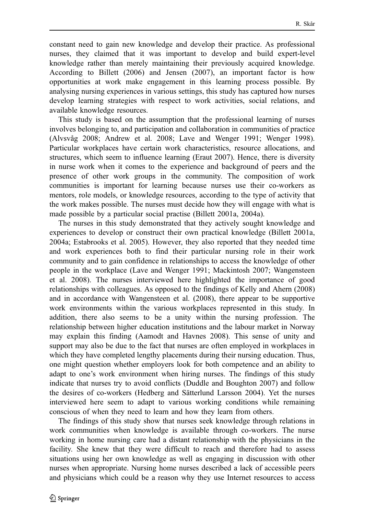constant need to gain new knowledge and develop their practice. As professional nurses, they claimed that it was important to develop and build expert-level knowledge rather than merely maintaining their previously acquired knowledge. According to Billett (2006) and Jensen (2007), an important factor is how opportunities at work make engagement in this learning process possible. By analysing nursing experiences in various settings, this study has captured how nurses develop learning strategies with respect to work activities, social relations, and available knowledge resources.

This study is based on the assumption that the professional learning of nurses involves belonging to, and participation and collaboration in communities of practice (Alvsvåg 2008; Andrew et al. 2008; Lave and Wenger 1991; Wenger 1998). Particular workplaces have certain work characteristics, resource allocations, and structures, which seem to influence learning (Eraut 2007). Hence, there is diversity in nurse work when it comes to the experience and background of peers and the presence of other work groups in the community. The composition of work communities is important for learning because nurses use their co-workers as mentors, role models, or knowledge resources, according to the type of activity that the work makes possible. The nurses must decide how they will engage with what is made possible by a particular social practise (Billett 2001a, 2004a).

The nurses in this study demonstrated that they actively sought knowledge and experiences to develop or construct their own practical knowledge (Billett 2001a, 2004a; Estabrooks et al. 2005). However, they also reported that they needed time and work experiences both to find their particular nursing role in their work community and to gain confidence in relationships to access the knowledge of other people in the workplace (Lave and Wenger 1991; Mackintosh 2007; Wangensteen et al. 2008). The nurses interviewed here highlighted the importance of good relationships with colleagues. As opposed to the findings of Kelly and Ahern (2008) and in accordance with Wangensteen et al. (2008), there appear to be supportive work environments within the various workplaces represented in this study. In addition, there also seems to be a unity within the nursing profession. The relationship between higher education institutions and the labour market in Norway may explain this finding (Aamodt and Havnes 2008). This sense of unity and support may also be due to the fact that nurses are often employed in workplaces in which they have completed lengthy placements during their nursing education. Thus, one might question whether employers look for both competence and an ability to adapt to one's work environment when hiring nurses. The findings of this study indicate that nurses try to avoid conflicts (Duddle and Boughton 2007) and follow the desires of co-workers (Hedberg and Sätterlund Larsson 2004). Yet the nurses interviewed here seem to adapt to various working conditions while remaining conscious of when they need to learn and how they learn from others.

The findings of this study show that nurses seek knowledge through relations in work communities when knowledge is available through co-workers. The nurse working in home nursing care had a distant relationship with the physicians in the facility. She knew that they were difficult to reach and therefore had to assess situations using her own knowledge as well as engaging in discussion with other nurses when appropriate. Nursing home nurses described a lack of accessible peers and physicians which could be a reason why they use Internet resources to access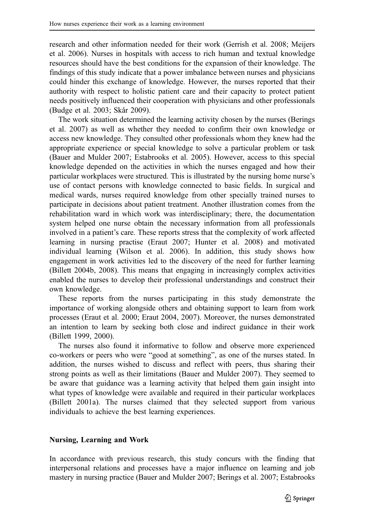research and other information needed for their work (Gerrish et al. 2008; Meijers et al. 2006). Nurses in hospitals with access to rich human and textual knowledge resources should have the best conditions for the expansion of their knowledge. The findings of this study indicate that a power imbalance between nurses and physicians could hinder this exchange of knowledge. However, the nurses reported that their authority with respect to holistic patient care and their capacity to protect patient needs positively influenced their cooperation with physicians and other professionals (Budge et al. 2003; Skår 2009).

The work situation determined the learning activity chosen by the nurses (Berings et al. 2007) as well as whether they needed to confirm their own knowledge or access new knowledge. They consulted other professionals whom they knew had the appropriate experience or special knowledge to solve a particular problem or task (Bauer and Mulder 2007; Estabrooks et al. 2005). However, access to this special knowledge depended on the activities in which the nurses engaged and how their particular workplaces were structured. This is illustrated by the nursing home nurse's use of contact persons with knowledge connected to basic fields. In surgical and medical wards, nurses required knowledge from other specially trained nurses to participate in decisions about patient treatment. Another illustration comes from the rehabilitation ward in which work was interdisciplinary; there, the documentation system helped one nurse obtain the necessary information from all professionals involved in a patient's care. These reports stress that the complexity of work affected learning in nursing practise (Eraut 2007; Hunter et al. 2008) and motivated individual learning (Wilson et al. 2006). In addition, this study shows how engagement in work activities led to the discovery of the need for further learning (Billett 2004b, 2008). This means that engaging in increasingly complex activities enabled the nurses to develop their professional understandings and construct their own knowledge.

These reports from the nurses participating in this study demonstrate the importance of working alongside others and obtaining support to learn from work processes (Eraut et al. 2000; Eraut 2004, 2007). Moreover, the nurses demonstrated an intention to learn by seeking both close and indirect guidance in their work (Billett 1999, 2000).

The nurses also found it informative to follow and observe more experienced co-workers or peers who were "good at something", as one of the nurses stated. In addition, the nurses wished to discuss and reflect with peers, thus sharing their strong points as well as their limitations (Bauer and Mulder 2007). They seemed to be aware that guidance was a learning activity that helped them gain insight into what types of knowledge were available and required in their particular workplaces (Billett 2001a). The nurses claimed that they selected support from various individuals to achieve the best learning experiences.

#### Nursing, Learning and Work

In accordance with previous research, this study concurs with the finding that interpersonal relations and processes have a major influence on learning and job mastery in nursing practice (Bauer and Mulder 2007; Berings et al. 2007; Estabrooks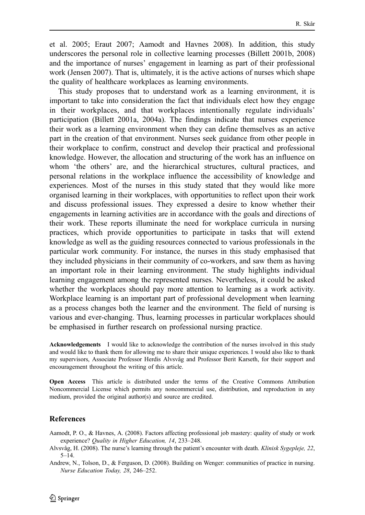et al. 2005; Eraut 2007; Aamodt and Havnes 2008). In addition, this study underscores the personal role in collective learning processes (Billett 2001b, 2008) and the importance of nurses' engagement in learning as part of their professional work (Jensen 2007). That is, ultimately, it is the active actions of nurses which shape the quality of healthcare workplaces as learning environments.

This study proposes that to understand work as a learning environment, it is important to take into consideration the fact that individuals elect how they engage in their workplaces, and that workplaces intentionally regulate individuals' participation (Billett 2001a, 2004a). The findings indicate that nurses experience their work as a learning environment when they can define themselves as an active part in the creation of that environment. Nurses seek guidance from other people in their workplace to confirm, construct and develop their practical and professional knowledge. However, the allocation and structuring of the work has an influence on whom 'the others' are, and the hierarchical structures, cultural practices, and personal relations in the workplace influence the accessibility of knowledge and experiences. Most of the nurses in this study stated that they would like more organised learning in their workplaces, with opportunities to reflect upon their work and discuss professional issues. They expressed a desire to know whether their engagements in learning activities are in accordance with the goals and directions of their work. These reports illuminate the need for workplace curricula in nursing practices, which provide opportunities to participate in tasks that will extend knowledge as well as the guiding resources connected to various professionals in the particular work community. For instance, the nurses in this study emphasised that they included physicians in their community of co-workers, and saw them as having an important role in their learning environment. The study highlights individual learning engagement among the represented nurses. Nevertheless, it could be asked whether the workplaces should pay more attention to learning as a work activity. Workplace learning is an important part of professional development when learning as a process changes both the learner and the environment. The field of nursing is various and ever-changing. Thus, learning processes in particular workplaces should be emphasised in further research on professional nursing practice.

Acknowledgements I would like to acknowledge the contribution of the nurses involved in this study and would like to thank them for allowing me to share their unique experiences. I would also like to thank my supervisors, Associate Professor Herdis Alvsvåg and Professor Berit Karseth, for their support and encouragement throughout the writing of this article.

Open Access This article is distributed under the terms of the Creative Commons Attribution Noncommercial License which permits any noncommercial use, distribution, and reproduction in any medium, provided the original author(s) and source are credited.

#### References

- Aamodt, P. O., & Havnes, A. (2008). Factors affecting professional job mastery: quality of study or work experience? Quality in Higher Education, 14, 233–248.
- Alvsvåg, H. (2008). The nurse's learning through the patient's encounter with death. Klinisk Sygepleje, 22, 5–14.
- Andrew, N., Tolson, D., & Ferguson, D. (2008). Building on Wenger: communities of practice in nursing. Nurse Education Today, 28, 246–252.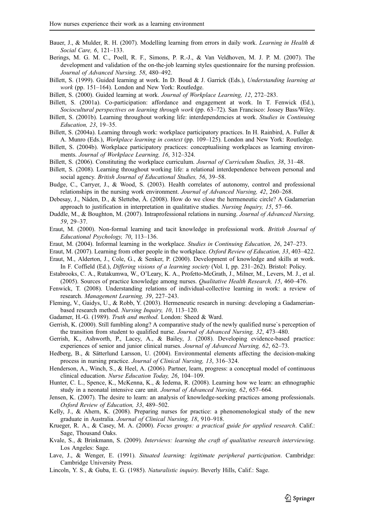- Bauer, J., & Mulder, R. H. (2007). Modelling learning from errors in daily work. Learning in Health & Social Care, 6, 121–133.
- Berings, M. G. M. C., Poell, R. F., Simons, P. R.-J., & Van Veldhoven, M. J. P. M. (2007). The development and validation of the on-the-job learning styles questionnaire for the nursing profession. Journal of Advanced Nursing, 58, 480–492.
- Billett, S. (1999). Guided learning at work. In D. Boud & J. Garrick (Eds.), Understanding learning at work (pp. 151–164). London and New York: Routledge.
- Billett, S. (2000). Guided learning at work. Journal of Workplace Learning, 12, 272–283.
- Billett, S. (2001a). Co-participation: affordance and engagement at work. In T. Fenwick (Ed.), Sociocultural perspectives on learning through work (pp. 63–72). San Francisco: Jossey Bass/Wiley.
- Billett, S. (2001b). Learning throughout working life: interdependencies at work. Studies in Continuing Education, 23, 19–35.
- Billett, S. (2004a). Learning through work: workplace participatory practices. In H. Rainbird, A. Fuller & A. Munro (Eds.), Workplace learning in context (pp. 109-125). London and New York: Routledge.
- Billett, S. (2004b). Workplace participatory practices: conceptualising workplaces as learning environments. Journal of Workplace Learning, 16, 312–324.
- Billett, S. (2006). Constituting the workplace curriculum. Journal of Curriculum Studies, 38, 31–48.
- Billett, S. (2008). Learning throughout working life: a relational interdependence between personal and social agency. British Journal of Educational Studies, 56, 39–58.
- Budge, C., Carryer, J., & Wood, S. (2003). Health correlates of autonomy, control and professional relationships in the nursing work environment. Journal of Advanced Nursing, 42, 260–268.
- Debesay, J., Nåden, D., & Slettebø, Å. (2008). How do we close the hermeneutic circle? A Gadamerian approach to justification in interpretation in qualitative studies. Nursing Inquiry, 15, 57–66.
- Duddle, M., & Boughton, M. (2007). Intraprofessional relations in nursing. Journal of Advanced Nursing, 59, 29–37.
- Eraut, M. (2000). Non-formal learning and tacit knowledge in professional work. British Journal of Educational Psychology, 70, 113–136.
- Eraut, M. (2004). Informal learning in the workplace. Studies in Continuing Education, 26, 247–273.
- Eraut, M. (2007). Learning from other people in the workplace. Oxford Review of Education, 33, 403–422.
- Eraut, M., Alderton, J., Cole, G., & Senker, P. (2000). Development of knowledge and skills at work. In F. Coffield (Ed.), Differing visions of a learning society (Vol. I, pp. 231–262). Bristol: Policy.
- Estabrooks, C. A., Rutakumwa, W., O'Leary, K. A., Profetto-McGrath, J., Milner, M., Levers, M. J., et al. (2005). Sources of practice knowledge among nurses. Qualitative Health Research, 15, 460–476.
- Fenwick, T. (2008). Understanding relations of individual-collective learning in work: a review of research. Management Learning, 39, 227–243.
- Fleming, V., Gaidys, U., & Robb, Y. (2003). Hermeneutic research in nursing: developing a Gadamerianbased research method. Nursing Inquiry, 10, 113–120.
- Gadamer, H.-G. (1989). Truth and method. London: Sheed & Ward.
- Gerrish, K. (2000). Still fumbling along? A comparative study of the newly qualified nurse`s perception of the transition from student to qualified nurse. Journal of Advanced Nursing, 32, 473-480.
- Gerrish, K., Ashworth, P., Lacey, A., & Bailey, J. (2008). Developing evidence-based practice: experiences of senior and junior clinical nurses. Journal of Advanced Nursing, 62, 62–73.
- Hedberg, B., & Sätterlund Larsson, U. (2004). Environmental elements affecting the decision-making process in nursing practice. Journal of Clinical Nursing, 13, 316–324.
- Henderson, A., Winch, S., & Heel, A. (2006). Partner, learn, progress: a conceptual model of continuous clinical education. Nurse Education Today, 26, 104–109.
- Hunter, C. L., Spence, K., McKenna, K., & Iedema, R. (2008). Learning how we learn: an ethnographic study in a neonatal intensive care unit. Journal of Advanced Nursing, 62, 657–664.
- Jensen, K. (2007). The desire to learn: an analysis of knowledge-seeking practices among professionals. Oxford Review of Education, 33, 489–502.
- Kelly, J., & Ahern, K. (2008). Preparing nurses for practice: a phenomenological study of the new graduate in Australia. Journal of Clinical Nursing, 18, 910–918.
- Krueger, R. A., & Casey, M. A. (2000). Focus groups: a practical guide for applied research. Calif.: Sage, Thousand Oaks.
- Kvale, S., & Brinkmann, S. (2009). Interviews: learning the craft of qualitative research interviewing. Los Angeles: Sage.
- Lave, J., & Wenger, E. (1991). Situated learning: legitimate peripheral participation. Cambridge: Cambridge University Press.
- Lincoln, Y. S., & Guba, E. G. (1985). Naturalistic inquiry. Beverly Hills, Calif.: Sage.